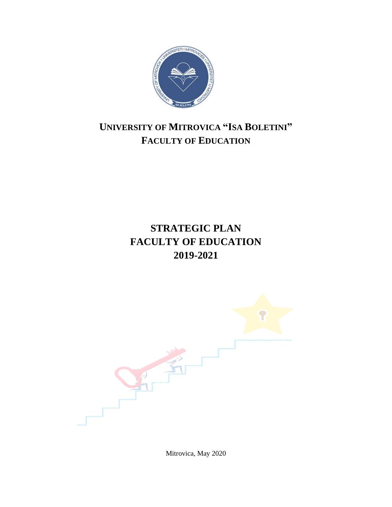

# <span id="page-0-1"></span><span id="page-0-0"></span>**UNIVERSITY OF MITROVICA "ISA BOLETINI" FACULTY OF EDUCATION**

# **STRATEGIC PLAN FACULTY OF EDUCATION 2019-2021**

<span id="page-0-4"></span><span id="page-0-3"></span><span id="page-0-2"></span>

Mitrovica, May 2020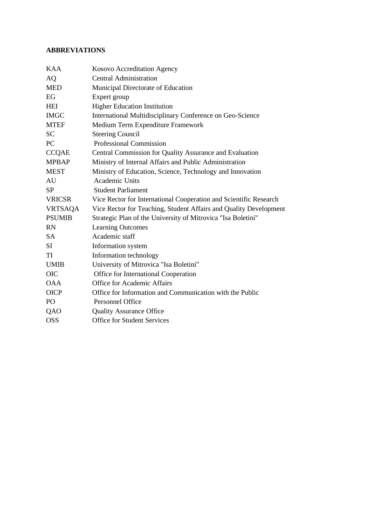## <span id="page-1-0"></span>**ABBREVIATIONS**

| <b>KAA</b>     | Kosovo Accreditation Agency                                       |
|----------------|-------------------------------------------------------------------|
| AQ             | <b>Central Administration</b>                                     |
| <b>MED</b>     | Municipal Directorate of Education                                |
| EG             | Expert group                                                      |
| <b>HEI</b>     | <b>Higher Education Institution</b>                               |
| <b>IMGC</b>    | International Multidisciplinary Conference on Geo-Science         |
| <b>MTEF</b>    | Medium Term Expenditure Framework                                 |
| <b>SC</b>      | <b>Steering Council</b>                                           |
| <b>PC</b>      | Professional Commission                                           |
| <b>CCQAE</b>   | Central Commission for Quality Assurance and Evaluation           |
| <b>MPBAP</b>   | Ministry of Internal Affairs and Public Administration            |
| <b>MEST</b>    | Ministry of Education, Science, Technology and Innovation         |
| AU             | Academic Units                                                    |
| <b>SP</b>      | <b>Student Parliament</b>                                         |
| <b>VRICSR</b>  | Vice Rector for International Cooperation and Scientific Research |
| <b>VRTSAQA</b> | Vice Rector for Teaching, Student Affairs and Quality Development |
| <b>PSUMIB</b>  | Strategic Plan of the University of Mitrovica "Isa Boletini"      |
| <b>RN</b>      | <b>Learning Outcomes</b>                                          |
| SA             | Academic staff                                                    |
| SI             | Information system                                                |
| TI             | Information technology                                            |
| <b>UMIB</b>    | University of Mitrovica "Isa Boletini"                            |
| <b>OIC</b>     | Office for International Cooperation                              |
| <b>OAA</b>     | <b>Office for Academic Affairs</b>                                |
| <b>OICP</b>    | Office for Information and Communication with the Public          |
| PO             | <b>Personnel Office</b>                                           |
| QAO            | <b>Quality Assurance Office</b>                                   |
| <b>OSS</b>     | <b>Office for Student Services</b>                                |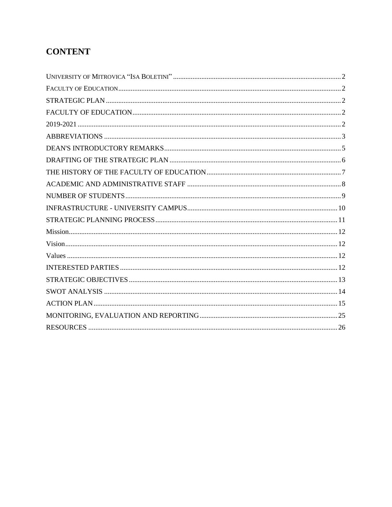## **CONTENT**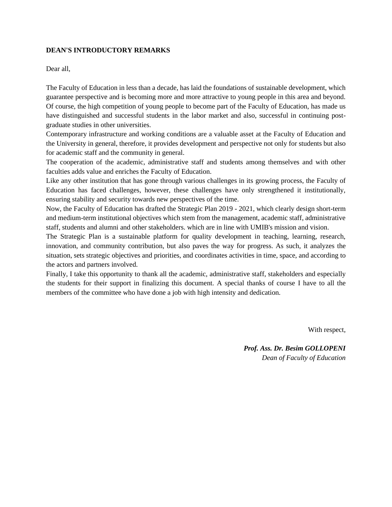#### <span id="page-3-0"></span>**DEAN'S INTRODUCTORY REMARKS**

Dear all,

The Faculty of Education in less than a decade, has laid the foundations of sustainable development, which guarantee perspective and is becoming more and more attractive to young people in this area and beyond. Of course, the high competition of young people to become part of the Faculty of Education, has made us have distinguished and successful students in the labor market and also, successful in continuing postgraduate studies in other universities.

Contemporary infrastructure and working conditions are a valuable asset at the Faculty of Education and the University in general, therefore, it provides development and perspective not only for students but also for academic staff and the community in general.

The cooperation of the academic, administrative staff and students among themselves and with other faculties adds value and enriches the Faculty of Education.

Like any other institution that has gone through various challenges in its growing process, the Faculty of Education has faced challenges, however, these challenges have only strengthened it institutionally, ensuring stability and security towards new perspectives of the time.

Now, the Faculty of Education has drafted the Strategic Plan 2019 - 2021, which clearly design short-term and medium-term institutional objectives which stem from the management, academic staff, administrative staff, students and alumni and other stakeholders. which are in line with UMIB's mission and vision.

The Strategic Plan is a sustainable platform for quality development in teaching, learning, research, innovation, and community contribution, but also paves the way for progress. As such, it analyzes the situation, sets strategic objectives and priorities, and coordinates activities in time, space, and according to the actors and partners involved.

Finally, I take this opportunity to thank all the academic, administrative staff, stakeholders and especially the students for their support in finalizing this document. A special thanks of course I have to all the members of the committee who have done a job with high intensity and dedication.

With respect,

*Prof. Ass. Dr. Besim GOLLOPENI Dean of Faculty of Education*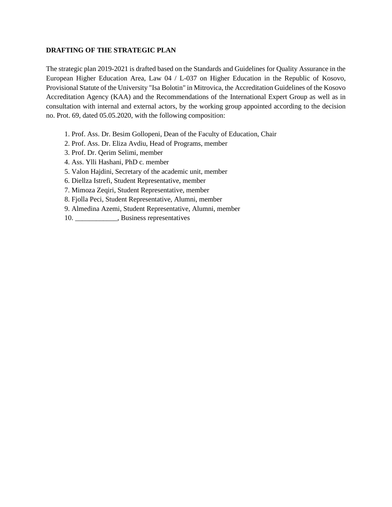#### <span id="page-4-0"></span>**DRAFTING OF THE STRATEGIC PLAN**

The strategic plan 2019-2021 is drafted based on the Standards and Guidelines for Quality Assurance in the European Higher Education Area, Law 04 / L-037 on Higher Education in the Republic of Kosovo, Provisional Statute of the University "Isa Bolotin" in Mitrovica, the Accreditation Guidelines of the Kosovo Accreditation Agency (KAA) and the Recommendations of the International Expert Group as well as in consultation with internal and external actors, by the working group appointed according to the decision no. Prot. 69, dated 05.05.2020, with the following composition:

- 1. Prof. Ass. Dr. Besim Gollopeni, Dean of the Faculty of Education, Chair
- 2. Prof. Ass. Dr. Eliza Avdiu, Head of Programs, member
- 3. Prof. Dr. Qerim Selimi, member
- 4. Ass. Ylli Hashani, PhD c. member
- 5. Valon Hajdini, Secretary of the academic unit, member
- 6. Diellza Istrefi, Student Representative, member
- 7. Mimoza Zeqiri, Student Representative, member
- 8. Fjolla Peci, Student Representative, Alumni, member
- 9. Almedina Azemi, Student Representative, Alumni, member
- 10. \_\_\_\_\_\_\_\_\_\_\_\_, Business representatives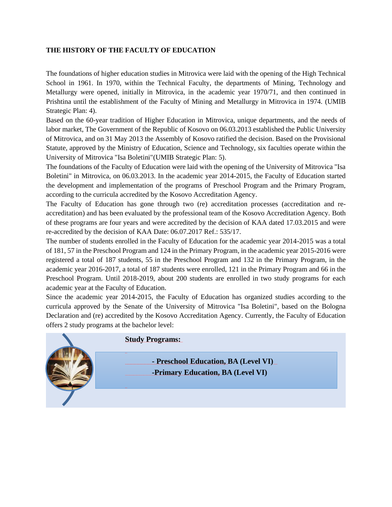### <span id="page-5-0"></span>**THE HISTORY OF THE FACULTY OF EDUCATION**

The foundations of higher education studies in Mitrovica were laid with the opening of the High Technical School in 1961. In 1970, within the Technical Faculty, the departments of Mining, Technology and Metallurgy were opened, initially in Mitrovica, in the academic year 1970/71, and then continued in Prishtina until the establishment of the Faculty of Mining and Metallurgy in Mitrovica in 1974. (UMIB Strategic Plan: 4).

Based on the 60-year tradition of Higher Education in Mitrovica, unique departments, and the needs of labor market, The Government of the Republic of Kosovo on 06.03.2013 established the Public University of Mitrovica, and on 31 May 2013 the Assembly of Kosovo ratified the decision. Based on the Provisional Statute, approved by the Ministry of Education, Science and Technology, six faculties operate within the University of Mitrovica "Isa Boletini"(UMIB Strategic Plan: 5).

The foundations of the Faculty of Education were laid with the opening of the University of Mitrovica "Isa Boletini" in Mitrovica, on 06.03.2013. In the academic year 2014-2015, the Faculty of Education started the development and implementation of the programs of Preschool Program and the Primary Program, according to the curricula accredited by the Kosovo Accreditation Agency.

The Faculty of Education has gone through two (re) accreditation processes (accreditation and reaccreditation) and has been evaluated by the professional team of the Kosovo Accreditation Agency. Both of these programs are four years and were accredited by the decision of KAA dated 17.03.2015 and were re-accredited by the decision of KAA Date: 06.07.2017 Ref.: 535/17.

The number of students enrolled in the Faculty of Education for the academic year 2014-2015 was a total of 181, 57 in the Preschool Program and 124 in the Primary Program, in the academic year 2015-2016 were registered a total of 187 students, 55 in the Preschool Program and 132 in the Primary Program, in the academic year 2016-2017, a total of 187 students were enrolled, 121 in the Primary Program and 66 in the Preschool Program. Until 2018-2019, about 200 students are enrolled in two study programs for each academic year at the Faculty of Education.

Since the academic year 2014-2015, the Faculty of Education has organized studies according to the curricula approved by the Senate of the University of Mitrovica "Isa Boletini", based on the Bologna Declaration and (re) accredited by the Kosovo Accreditation Agency. Currently, the Faculty of Education offers 2 study programs at the bachelor level:



## **Study Programs:**

**- Preschool Education, BA (Level VI) -Primary Education, BA (Level VI)**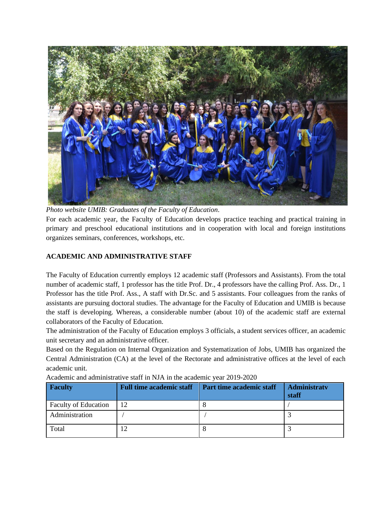

*Photo website UMIB: Graduates of the Faculty of Education*. For each academic year, the Faculty of Education develops practice teaching and practical training in primary and preschool educational institutions and in cooperation with local and foreign institutions organizes seminars, conferences, workshops, etc.

## <span id="page-6-0"></span>**ACADEMIC AND ADMINISTRATIVE STAFF**

The Faculty of Education currently employs 12 academic staff (Professors and Assistants). From the total number of academic staff, 1 professor has the title Prof. Dr., 4 professors have the calling Prof. Ass. Dr., 1 Professor has the title Prof. Ass., A staff with Dr.Sc. and 5 assistants. Four colleagues from the ranks of assistants are pursuing doctoral studies. The advantage for the Faculty of Education and UMIB is because the staff is developing. Whereas, a considerable number (about 10) of the academic staff are external collaborators of the Faculty of Education.

The administration of the Faculty of Education employs 3 officials, a student services officer, an academic unit secretary and an administrative officer.

Based on the Regulation on Internal Organization and Systematization of Jobs, UMIB has organized the Central Administration (CA) at the level of the Rectorate and administrative offices at the level of each academic unit.

| <b>Faculty</b>              | <b>Full time academic staff</b> | Part time academic staff | <b>Administraty</b><br>staff |
|-----------------------------|---------------------------------|--------------------------|------------------------------|
| <b>Faculty of Education</b> | 12                              |                          |                              |
| Administration              |                                 |                          |                              |
| Total                       |                                 | $\Omega$                 |                              |

Academic and administrative staff in NJA in the academic year 2019-2020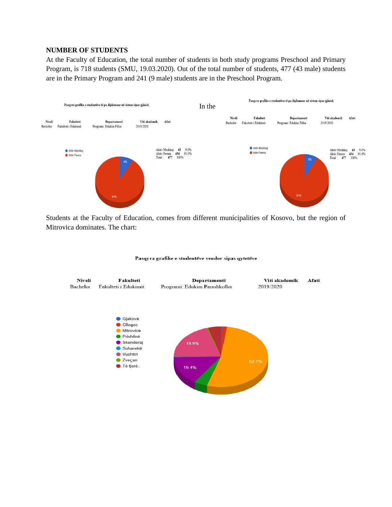## <span id="page-7-0"></span>**NUMBER OF STUDENTS**

At the Faculty of Education, the total number of students in both study programs Preschool and Primary Program, is 718 students (SMU, 19.03.2020). Out of the total number of students, 477 (43 male) students are in the Primary Program and 241 (9 male) students are in the Preschool Program.



Students at the Faculty of Education, comes from different municipalities of Kosovo, but the region of Mitrovica dominates. The chart:



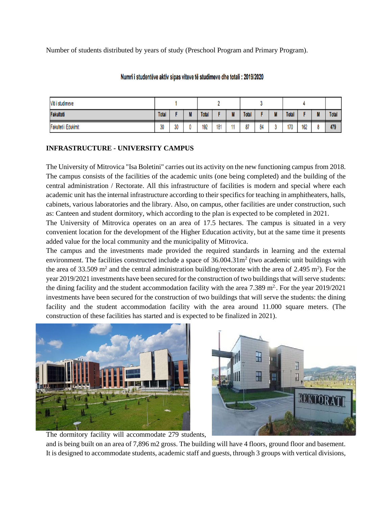Number of students distributed by years of study (Preschool Program and Primary Program).

| Viti i studimeve     |              |    |        |              |     |       |              |    |                     |              |     |                   |              |
|----------------------|--------------|----|--------|--------------|-----|-------|--------------|----|---------------------|--------------|-----|-------------------|--------------|
| Fakulteti            | <b>Total</b> |    | u<br>ш | <b>Total</b> |     | <br>ш | <b>Total</b> |    | $\blacksquare$<br>ш | <b>Total</b> |     | $\mathbf{u}$<br>M | <b>Total</b> |
| Fakulteti i Edukimit | 30           | 30 |        | 192          | 181 |       | 87           | 84 |                     | 170          | 162 |                   | 479          |

## Numri i studentëve aktiv sipas viteve të studimeve dhe totali : 2019/2020

## <span id="page-8-0"></span>**INFRASTRUCTURE - UNIVERSITY CAMPUS**

The University of Mitrovica "Isa Boletini" carries out its activity on the new functioning campus from 2018. The campus consists of the facilities of the academic units (one being completed) and the building of the central administration / Rectorate. All this infrastructure of facilities is modern and special where each academic unit has the internal infrastructure according to their specifics for teaching in amphitheaters, halls, cabinets, various laboratories and the library. Also, on campus, other facilities are under construction, such as: Canteen and student dormitory, which according to the plan is expected to be completed in 2021.

The University of Mitrovica operates on an area of 17.5 hectares. The campus is situated in a very convenient location for the development of the Higher Education activity, but at the same time it presents added value for the local community and the municipality of Mitrovica.

The campus and the investments made provided the required standards in learning and the external environment. The facilities constructed include a space of  $36.004.31m<sup>2</sup>$  (two academic unit buildings with the area of 33.509 m<sup>2</sup> and the central administration building/rectorate with the area of 2.495 m<sup>2</sup>). For the year 2019/2021 investments have been secured for the construction of two buildings that will serve students: the dining facility and the student accommodation facility with the area  $7.389 \text{ m}^2$ . For the year  $2019/2021$ investments have been secured for the construction of two buildings that will serve the students: the dining facility and the student accommodation facility with the area around 11.000 square meters. (The construction of these facilities has started and is expected to be finalized in 2021).





The dormitory facility will accommodate 279 students, and is being built on an area of 7,896 m2 gross. The building will have 4 floors, ground floor and basement. It is designed to accommodate students, academic staff and guests, through 3 groups with vertical divisions,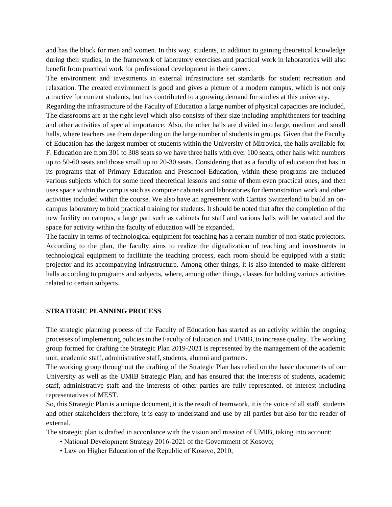and has the block for men and women. In this way, students, in addition to gaining theoretical knowledge during their studies, in the framework of laboratory exercises and practical work in laboratories will also benefit from practical work for professional development in their career.

The environment and investments in external infrastructure set standards for student recreation and relaxation. The created environment is good and gives a picture of a modern campus, which is not only attractive for current students, but has contributed to a growing demand for studies at this university.

Regarding the infrastructure of the Faculty of Education a large number of physical capacities are included. The classrooms are at the right level which also consists of their size including amphitheaters for teaching and other activities of special importance. Also, the other halls are divided into large, medium and small halls, where teachers use them depending on the large number of students in groups. Given that the Faculty of Education has the largest number of students within the University of Mitrovica, the halls available for F. Education are from 301 to 308 seats so we have three halls with over 100 seats, other halls with numbers up to 50-60 seats and those small up to 20-30 seats. Considering that as a faculty of education that has in its programs that of Primary Education and Preschool Education, within these programs are included various subjects which for some need theoretical lessons and some of them even practical ones, and then uses space within the campus such as computer cabinets and laboratories for demonstration work and other activities included within the course. We also have an agreement with Caritas Switzerland to build an oncampus laboratory to hold practical training for students. It should be noted that after the completion of the new facility on campus, a large part such as cabinets for staff and various halls will be vacated and the space for activity within the faculty of education will be expanded.

The faculty in terms of technological equipment for teaching has a certain number of non-static projectors. According to the plan, the faculty aims to realize the digitalization of teaching and investments in technological equipment to facilitate the teaching process, each room should be equipped with a static projector and its accompanying infrastructure. Among other things, it is also intended to make different halls according to programs and subjects, where, among other things, classes for holding various activities related to certain subjects.

#### <span id="page-9-0"></span>**STRATEGIC PLANNING PROCESS**

The strategic planning process of the Faculty of Education has started as an activity within the ongoing processes of implementing policies in the Faculty of Education and UMIB, to increase quality. The working group formed for drafting the Strategic Plan 2019-2021 is represented by the management of the academic unit, academic staff, administrative staff, students, alumni and partners.

The working group throughout the drafting of the Strategic Plan has relied on the basic documents of our University as well as the UMIB Strategic Plan, and has ensured that the interests of students, academic staff, administrative staff and the interests of other parties are fully represented. of interest including representatives of MEST.

So, this Strategic Plan is a unique document, it is the result of teamwork, it is the voice of all staff, students and other stakeholders therefore, it is easy to understand and use by all parties but also for the reader of external.

The strategic plan is drafted in accordance with the vision and mission of UMIB, taking into account:

- National Development Strategy 2016-2021 of the Government of Kosovo;
- Law on Higher Education of the Republic of Kosovo, 2010;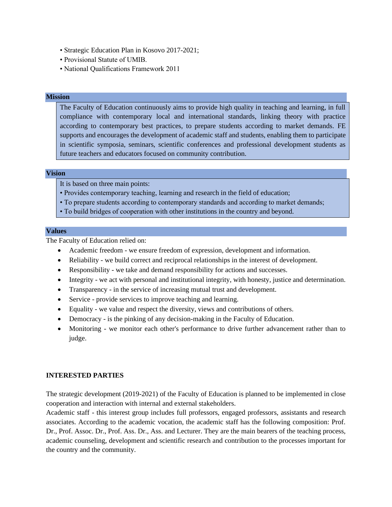- Strategic Education Plan in Kosovo 2017-2021;
- Provisional Statute of UMIB.
- National Qualifications Framework 2011

#### <span id="page-10-0"></span>**Mission**

The Faculty of Education continuously aims to provide high quality in teaching and learning, in full compliance with contemporary local and international standards, linking theory with practice according to contemporary best practices, to prepare students according to market demands. FE supports and encourages the development of academic staff and students, enabling them to participate in scientific symposia, seminars, scientific conferences and professional development students as future teachers and educators focused on community contribution.

#### <span id="page-10-1"></span>**Vision**

It is based on three main points:

- Provides contemporary teaching, learning and research in the field of education;
- To prepare students according to contemporary standards and according to market demands;
- To build bridges of cooperation with other institutions in the country and beyond.

#### <span id="page-10-2"></span>**Values**

The Faculty of Education relied on:

- Academic freedom we ensure freedom of expression, development and information.
- Reliability we build correct and reciprocal relationships in the interest of development.
- Responsibility we take and demand responsibility for actions and successes.
- Integrity we act with personal and institutional integrity, with honesty, justice and determination.
- Transparency in the service of increasing mutual trust and development.
- Service provide services to improve teaching and learning.
- Equality we value and respect the diversity, views and contributions of others.
- Democracy is the pinking of any decision-making in the Faculty of Education.
- Monitoring we monitor each other's performance to drive further advancement rather than to judge.

#### <span id="page-10-3"></span>**INTERESTED PARTIES**

The strategic development (2019-2021) of the Faculty of Education is planned to be implemented in close cooperation and interaction with internal and external stakeholders.

Academic staff - this interest group includes full professors, engaged professors, assistants and research associates. According to the academic vocation, the academic staff has the following composition: Prof. Dr., Prof. Assoc. Dr., Prof. Ass. Dr., Ass. and Lecturer. They are the main bearers of the teaching process, academic counseling, development and scientific research and contribution to the processes important for the country and the community.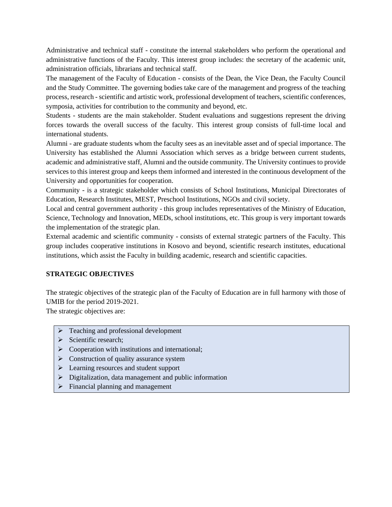Administrative and technical staff - constitute the internal stakeholders who perform the operational and administrative functions of the Faculty. This interest group includes: the secretary of the academic unit, administration officials, librarians and technical staff.

The management of the Faculty of Education - consists of the Dean, the Vice Dean, the Faculty Council and the Study Committee. The governing bodies take care of the management and progress of the teaching process, research -scientific and artistic work, professional development of teachers, scientific conferences, symposia, activities for contribution to the community and beyond, etc.

Students - students are the main stakeholder. Student evaluations and suggestions represent the driving forces towards the overall success of the faculty. This interest group consists of full-time local and international students.

Alumni - are graduate students whom the faculty sees as an inevitable asset and of special importance. The University has established the Alumni Association which serves as a bridge between current students, academic and administrative staff, Alumni and the outside community. The University continues to provide services to this interest group and keeps them informed and interested in the continuous development of the University and opportunities for cooperation.

Community - is a strategic stakeholder which consists of School Institutions, Municipal Directorates of Education, Research Institutes, MEST, Preschool Institutions, NGOs and civil society.

Local and central government authority - this group includes representatives of the Ministry of Education, Science, Technology and Innovation, MEDs, school institutions, etc. This group is very important towards the implementation of the strategic plan.

External academic and scientific community - consists of external strategic partners of the Faculty. This group includes cooperative institutions in Kosovo and beyond, scientific research institutes, educational institutions, which assist the Faculty in building academic, research and scientific capacities.

## <span id="page-11-0"></span>**STRATEGIC OBJECTIVES**

The strategic objectives of the strategic plan of the Faculty of Education are in full harmony with those of UMIB for the period 2019-2021.

The strategic objectives are:

- ➢ Teaching and professional development
- $\triangleright$  Scientific research:
- $\triangleright$  Cooperation with institutions and international;
- ➢ Construction of quality assurance system
- ➢ Learning resources and student support
- ➢ Digitalization, data management and public information
- ➢ Financial planning and management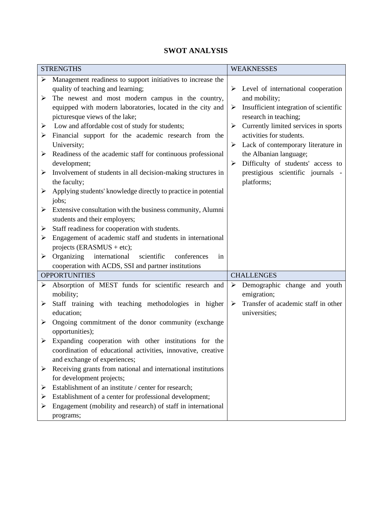## **SWOT ANALYSIS**

<span id="page-12-0"></span>

|                       | <b>STRENGTHS</b>                                               |   | <b>WEAKNESSES</b>                      |
|-----------------------|----------------------------------------------------------------|---|----------------------------------------|
| ➤                     | Management readiness to support initiatives to increase the    |   |                                        |
|                       | quality of teaching and learning;                              | ➤ | Level of international cooperation     |
| ➤                     | The newest and most modern campus in the country,              |   | and mobility;                          |
|                       | equipped with modern laboratories, located in the city and     | ➤ | Insufficient integration of scientific |
|                       | picturesque views of the lake;                                 |   | research in teaching;                  |
| ➤                     | Low and affordable cost of study for students;                 | ➤ | Currently limited services in sports   |
| ➤                     | Financial support for the academic research from the           |   | activities for students.               |
|                       | University;                                                    | ➤ | Lack of contemporary literature in     |
| ➤                     | Readiness of the academic staff for continuous professional    |   | the Albanian language;                 |
|                       | development;                                                   | ➤ | Difficulty of students' access to      |
| ➤                     | Involvement of students in all decision-making structures in   |   | prestigious scientific journals -      |
|                       | the faculty;                                                   |   | platforms;                             |
| ➤                     | Applying students' knowledge directly to practice in potential |   |                                        |
|                       | jobs;                                                          |   |                                        |
| ➤                     | Extensive consultation with the business community, Alumni     |   |                                        |
|                       | students and their employers;                                  |   |                                        |
| ≻                     | Staff readiness for cooperation with students.                 |   |                                        |
| ➤                     | Engagement of academic staff and students in international     |   |                                        |
|                       | projects (ERASMUS + etc);                                      |   |                                        |
| ➤                     | Organizing<br>international<br>scientific<br>conferences<br>in |   |                                        |
|                       | cooperation with ACDS, SSI and partner institutions            |   |                                        |
|                       | <b>OPPORTUNITIES</b>                                           |   | <b>CHALLENGES</b>                      |
| ➤                     | Absorption of MEST funds for scientific research and           | ➤ | Demographic change and youth           |
|                       | mobility;                                                      |   | emigration;                            |
| ➤                     | Staff training with teaching methodologies in higher           | ➤ | Transfer of academic staff in other    |
|                       | education;                                                     |   | universities;                          |
| $\blacktriangleright$ | Ongoing commitment of the donor community (exchange            |   |                                        |
|                       | opportunities);                                                |   |                                        |
| $\blacktriangleright$ | Expanding cooperation with other institutions for the          |   |                                        |
|                       | coordination of educational activities, innovative, creative   |   |                                        |
|                       | and exchange of experiences;                                   |   |                                        |
| $\blacktriangleright$ | Receiving grants from national and international institutions  |   |                                        |
|                       | for development projects;                                      |   |                                        |
| ➤                     | Establishment of an institute / center for research;           |   |                                        |
| ➤                     | Establishment of a center for professional development;        |   |                                        |
| ➤                     | Engagement (mobility and research) of staff in international   |   |                                        |
|                       | programs;                                                      |   |                                        |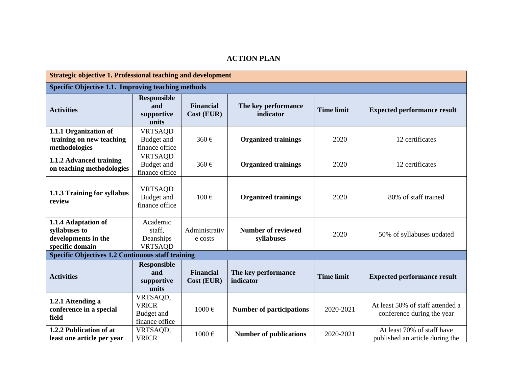## **ACTION PLAN**

<span id="page-13-0"></span>

| <b>Strategic objective 1. Professional teaching and development</b>            |                                                          |                                |                                         |                   |                                                                |  |  |
|--------------------------------------------------------------------------------|----------------------------------------------------------|--------------------------------|-----------------------------------------|-------------------|----------------------------------------------------------------|--|--|
| Specific Objective 1.1. Improving teaching methods                             |                                                          |                                |                                         |                   |                                                                |  |  |
| <b>Activities</b>                                                              | <b>Responsible</b><br>and<br>supportive<br>units         | <b>Financial</b><br>Cost (EUR) | The key performance<br>indicator        | <b>Time limit</b> | <b>Expected performance result</b>                             |  |  |
| 1.1.1 Organization of<br>training on new teaching<br>methodologies             | <b>VRTSAQD</b><br>Budget and<br>finance office           | 360€                           | <b>Organized trainings</b>              | 2020              | 12 certificates                                                |  |  |
| 1.1.2 Advanced training<br>on teaching methodologies                           | <b>VRTSAQD</b><br>Budget and<br>finance office           | 360€                           | <b>Organized trainings</b>              | 2020              | 12 certificates                                                |  |  |
| 1.1.3 Training for syllabus<br>review                                          | <b>VRTSAQD</b><br>Budget and<br>finance office           | $100 \text{ } \in$             | <b>Organized trainings</b>              | 2020              | 80% of staff trained                                           |  |  |
| 1.1.4 Adaptation of<br>syllabuses to<br>developments in the<br>specific domain | Academic<br>staff.<br>Deanships<br><b>VRTSAQD</b>        | Administrativ<br>e costs       | <b>Number of reviewed</b><br>syllabuses | 2020              | 50% of syllabuses updated                                      |  |  |
| <b>Specific Objectives 1.2 Continuous staff training</b>                       |                                                          |                                |                                         |                   |                                                                |  |  |
| <b>Activities</b>                                                              | <b>Responsible</b><br>and<br>supportive<br>units         | <b>Financial</b><br>Cost (EUR) | The key performance<br>indicator        | <b>Time limit</b> | <b>Expected performance result</b>                             |  |  |
| 1.2.1 Attending a<br>conference in a special<br>field                          | VRTSAQD,<br><b>VRICR</b><br>Budget and<br>finance office | 1000€                          | <b>Number of participations</b>         | 2020-2021         | At least 50% of staff attended a<br>conference during the year |  |  |
| 1.2.2 Publication of at<br>least one article per year                          | VRTSAQD,<br><b>VRICR</b>                                 | 1000€                          | <b>Number of publications</b>           | 2020-2021         | At least 70% of staff have<br>published an article during the  |  |  |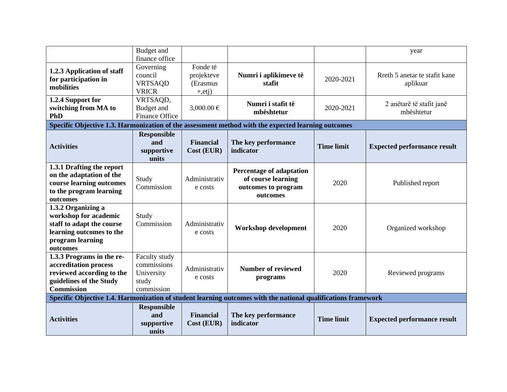|                                                                                                                                      | Budget and<br>finance office                                      |                                                    |                                                                                                               |                   | year                                      |
|--------------------------------------------------------------------------------------------------------------------------------------|-------------------------------------------------------------------|----------------------------------------------------|---------------------------------------------------------------------------------------------------------------|-------------------|-------------------------------------------|
| 1.2.3 Application of staff<br>for participation in<br>mobilities                                                                     | Governing<br>council<br><b>VRTSAQD</b><br><b>VRICR</b>            | Fonde të<br>projekteve<br>(Erasmus<br>$+,$ etj $)$ | Numri i aplikimeve të<br>stafit                                                                               | 2020-2021         | Rreth 5 anetar te stafit kane<br>aplikuar |
| 1.2.4 Support for<br>switching from MA to<br><b>PhD</b>                                                                              | VRTSAQD,<br><b>Budget</b> and<br><b>Finance Office</b>            | 3,000.00 €                                         | Numri i stafit të<br>mbështetur                                                                               | 2020-2021         | 2 anëtarë të stafit janë<br>mbështetur    |
|                                                                                                                                      |                                                                   |                                                    | Specific Objective 1.3. Harmonization of the assessment method with the expected learning outcomes            |                   |                                           |
| <b>Activities</b>                                                                                                                    | <b>Responsible</b><br>and<br>supportive<br>units                  | <b>Financial</b><br>Cost (EUR)                     | The key performance<br>indicator                                                                              | <b>Time limit</b> | <b>Expected performance result</b>        |
| 1.3.1 Drafting the report<br>on the adaptation of the<br>course learning outcomes<br>to the program learning<br>outcomes             | Study<br>Commission                                               | Administrativ<br>e costs                           | <b>Percentage of adaptation</b><br>of course learning<br>outcomes to program<br>outcomes                      | 2020              | Published report                          |
| 1.3.2 Organizing a<br>workshop for academic<br>staff to adapt the course<br>learning outcomes to the<br>program learning<br>outcomes | Study<br>Commission                                               | Administrativ<br>e costs                           | <b>Workshop development</b>                                                                                   | 2020              | Organized workshop                        |
| 1.3.3 Programs in the re-<br>accreditation process<br>reviewed according to the<br>guidelines of the Study<br><b>Commission</b>      | Faculty study<br>commissions<br>University<br>study<br>commission | Administrativ<br>e costs                           | <b>Number of reviewed</b><br>programs                                                                         | 2020              | Reviewed programs                         |
|                                                                                                                                      |                                                                   |                                                    | Specific Objective 1.4. Harmonization of student learning outcomes with the national qualifications framework |                   |                                           |
| <b>Activities</b>                                                                                                                    | <b>Responsible</b><br>and<br>supportive<br>units                  | <b>Financial</b><br>Cost (EUR)                     | The key performance<br>indicator                                                                              | <b>Time limit</b> | <b>Expected performance result</b>        |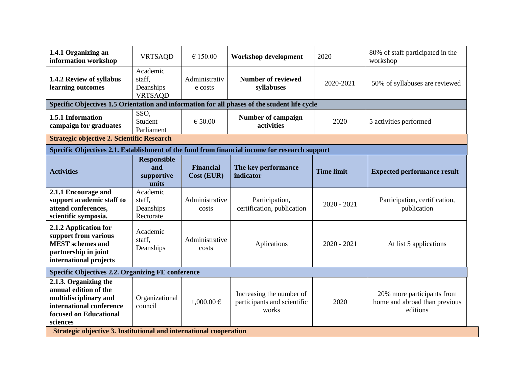| 1.4.1 Organizing an<br>information workshop                                                                                               | <b>VRTSAQD</b>                                    | € 150.00                       | Workshop development                                                                          | 2020              | 80% of staff participated in the<br>workshop                            |  |  |  |  |
|-------------------------------------------------------------------------------------------------------------------------------------------|---------------------------------------------------|--------------------------------|-----------------------------------------------------------------------------------------------|-------------------|-------------------------------------------------------------------------|--|--|--|--|
| 1.4.2 Review of syllabus<br>learning outcomes                                                                                             | Academic<br>staff,<br>Deanships<br><b>VRTSAQD</b> | Administrativ<br>e costs       | <b>Number of reviewed</b><br>syllabuses                                                       | 2020-2021         | 50% of syllabuses are reviewed                                          |  |  |  |  |
| Specific Objectives 1.5 Orientation and information for all phases of the student life cycle                                              |                                                   |                                |                                                                                               |                   |                                                                         |  |  |  |  |
| 1.5.1 Information<br>campaign for graduates                                                                                               | SSO,<br>Student<br>Parliament                     | € 50.00                        | <b>Number of campaign</b><br>activities                                                       | 2020              | 5 activities performed                                                  |  |  |  |  |
|                                                                                                                                           | <b>Strategic objective 2. Scientific Research</b> |                                |                                                                                               |                   |                                                                         |  |  |  |  |
|                                                                                                                                           |                                                   |                                | Specific Objectives 2.1. Establishment of the fund from financial income for research support |                   |                                                                         |  |  |  |  |
| <b>Activities</b>                                                                                                                         | <b>Responsible</b><br>and<br>supportive<br>units  | <b>Financial</b><br>Cost (EUR) | The key performance<br>indicator                                                              | <b>Time limit</b> | <b>Expected performance result</b>                                      |  |  |  |  |
| 2.1.1 Encourage and<br>support academic staff to<br>attend conferences,<br>scientific symposia.                                           | Academic<br>staff,<br>Deanships<br>Rectorate      | Administrative<br>costs        | Participation,<br>certification, publication                                                  | $2020 - 2021$     | Participation, certification,<br>publication                            |  |  |  |  |
| 2.1.2 Application for<br>support from various<br><b>MEST</b> schemes and<br>partnership in joint<br>international projects                | Academic<br>staff,<br>Deanships                   | Administrative<br>costs        | Aplications                                                                                   | $2020 - 2021$     | At list 5 applications                                                  |  |  |  |  |
| <b>Specific Objectives 2.2. Organizing FE conference</b>                                                                                  |                                                   |                                |                                                                                               |                   |                                                                         |  |  |  |  |
| 2.1.3. Organizing the<br>annual edition of the<br>multidisciplinary and<br>international conference<br>focused on Educational<br>sciences | Organizational<br>council                         | $1,000.00 \in$                 | Increasing the number of<br>participants and scientific<br>works                              | 2020              | 20% more participants from<br>home and abroad than previous<br>editions |  |  |  |  |
| Strategic objective 3. Institutional and international cooperation                                                                        |                                                   |                                |                                                                                               |                   |                                                                         |  |  |  |  |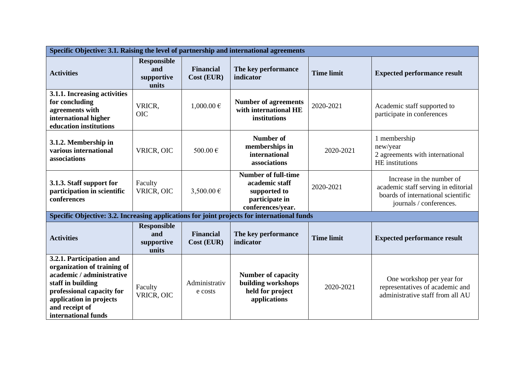| Specific Objective: 3.1. Raising the level of partnership and international agreements                                                                                                                     |                                                  |                                |                                                                                                     |                   |                                                                                                                                   |  |  |
|------------------------------------------------------------------------------------------------------------------------------------------------------------------------------------------------------------|--------------------------------------------------|--------------------------------|-----------------------------------------------------------------------------------------------------|-------------------|-----------------------------------------------------------------------------------------------------------------------------------|--|--|
| <b>Activities</b>                                                                                                                                                                                          | <b>Responsible</b><br>and<br>supportive<br>units | <b>Financial</b><br>Cost (EUR) | The key performance<br>indicator                                                                    | <b>Time limit</b> | <b>Expected performance result</b>                                                                                                |  |  |
| 3.1.1. Increasing activities<br>for concluding<br>agreements with<br>international higher<br>education institutions                                                                                        | VRICR,<br><b>OIC</b>                             | $1,000.00 \in$                 | <b>Number of agreements</b><br>with international HE<br>institutions                                | 2020-2021         | Academic staff supported to<br>participate in conferences                                                                         |  |  |
| 3.1.2. Membership in<br>various international<br>associations                                                                                                                                              | VRICR, OIC                                       | 500.00€                        | <b>Number of</b><br>memberships in<br>international<br>associations                                 | 2020-2021         | 1 membership<br>new/year<br>2 agreements with international<br>HE institutions                                                    |  |  |
| 3.1.3. Staff support for<br>participation in scientific<br>conferences                                                                                                                                     | Faculty<br>VRICR, OIC                            | 3,500.00 €                     | <b>Number of full-time</b><br>academic staff<br>supported to<br>participate in<br>conferences/year. | 2020-2021         | Increase in the number of<br>academic staff serving in editorial<br>boards of international scientific<br>journals / conferences. |  |  |
| Specific Objective: 3.2. Increasing applications for joint projects for international funds                                                                                                                |                                                  |                                |                                                                                                     |                   |                                                                                                                                   |  |  |
| <b>Activities</b>                                                                                                                                                                                          | <b>Responsible</b><br>and<br>supportive<br>units | <b>Financial</b><br>Cost (EUR) | The key performance<br>indicator                                                                    | <b>Time limit</b> | <b>Expected performance result</b>                                                                                                |  |  |
| 3.2.1. Participation and<br>organization of training of<br>academic / administrative<br>staff in building<br>professional capacity for<br>application in projects<br>and receipt of<br>international funds | Faculty<br>VRICR, OIC                            | Administrativ<br>e costs       | <b>Number of capacity</b><br>building workshops<br>held for project<br>applications                 | 2020-2021         | One workshop per year for<br>representatives of academic and<br>administrative staff from all AU                                  |  |  |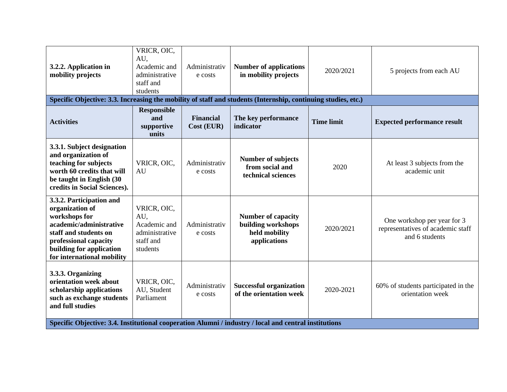| 3.2.2. Application in<br>mobility projects<br>Specific Objective: 3.3. Increasing the mobility of staff and students (Internship, continuing studies, etc.)                                         | VRICR, OIC,<br>AU,<br>Academic and<br>administrative<br>staff and<br>students | Administrativ<br>e costs       | <b>Number of applications</b><br>in mobility projects                            | 2020/2021         | 5 projects from each AU                                                            |
|-----------------------------------------------------------------------------------------------------------------------------------------------------------------------------------------------------|-------------------------------------------------------------------------------|--------------------------------|----------------------------------------------------------------------------------|-------------------|------------------------------------------------------------------------------------|
|                                                                                                                                                                                                     | <b>Responsible</b>                                                            |                                |                                                                                  |                   |                                                                                    |
| <b>Activities</b>                                                                                                                                                                                   | and<br>supportive<br>units                                                    | <b>Financial</b><br>Cost (EUR) | The key performance<br>indicator                                                 | <b>Time limit</b> | <b>Expected performance result</b>                                                 |
| 3.3.1. Subject designation<br>and organization of<br>teaching for subjects<br>worth 60 credits that will<br>be taught in English (30<br>credits in Social Sciences).                                | VRICR, OIC,<br>AU                                                             | Administrativ<br>e costs       | <b>Number of subjects</b><br>from social and<br>technical sciences               | 2020              | At least 3 subjects from the<br>academic unit                                      |
| 3.3.2. Participation and<br>organization of<br>workshops for<br>academic/administrative<br>staff and students on<br>professional capacity<br>building for application<br>for international mobility | VRICR, OIC,<br>AU,<br>Academic and<br>administrative<br>staff and<br>students | Administrativ<br>e costs       | <b>Number of capacity</b><br>building workshops<br>held mobility<br>applications | 2020/2021         | One workshop per year for 3<br>representatives of academic staff<br>and 6 students |
| 3.3.3. Organizing<br>orientation week about<br>scholarship applications<br>such as exchange students<br>and full studies                                                                            | VRICR, OIC,<br>AU, Student<br>Parliament                                      | Administrativ<br>e costs       | <b>Successful organization</b><br>of the orientation week                        | 2020-2021         | 60% of students participated in the<br>orientation week                            |
| Specific Objective: 3.4. Institutional cooperation Alumni / industry / local and central institutions                                                                                               |                                                                               |                                |                                                                                  |                   |                                                                                    |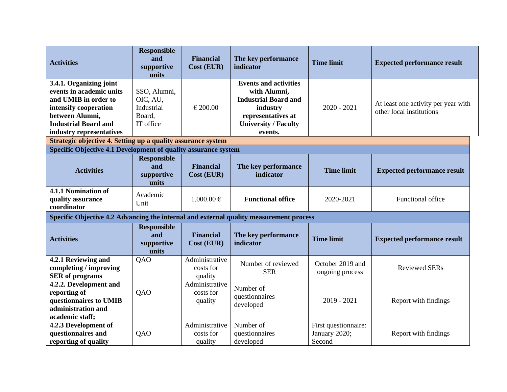| <b>Activities</b>                                                                                                                                                                  | <b>Responsible</b><br>and<br>supportive<br>units              | <b>Financial</b><br>Cost (EUR)         | The key performance<br>indicator                                                                                                                        | <b>Time limit</b>                               | <b>Expected performance result</b>                              |
|------------------------------------------------------------------------------------------------------------------------------------------------------------------------------------|---------------------------------------------------------------|----------------------------------------|---------------------------------------------------------------------------------------------------------------------------------------------------------|-------------------------------------------------|-----------------------------------------------------------------|
| 3.4.1. Organizing joint<br>events in academic units<br>and UMIB in order to<br>intensify cooperation<br>between Alumni,<br><b>Industrial Board and</b><br>industry representatives | SSO, Alumni,<br>OIC, AU,<br>Industrial<br>Board,<br>IT office | € 200.00                               | <b>Events and activities</b><br>with Alumni,<br><b>Industrial Board and</b><br>industry<br>representatives at<br><b>University / Faculty</b><br>events. | $2020 - 2021$                                   | At least one activity per year with<br>other local institutions |
| Strategic objective 4. Setting up a quality assurance system<br>Specific Objective 4.1 Development of quality assurance system                                                     |                                                               |                                        |                                                                                                                                                         |                                                 |                                                                 |
|                                                                                                                                                                                    | <b>Responsible</b>                                            |                                        |                                                                                                                                                         |                                                 |                                                                 |
| <b>Activities</b>                                                                                                                                                                  | and<br>supportive<br>units                                    | <b>Financial</b><br>Cost (EUR)         | The key performance<br>indicator                                                                                                                        | <b>Time limit</b>                               | <b>Expected performance result</b>                              |
| 4.1.1 Nomination of<br>quality assurance<br>coordinator                                                                                                                            | Academic<br>Unit                                              | $1.000.00 \in$                         | <b>Functional office</b>                                                                                                                                | 2020-2021                                       | Functional office                                               |
| Specific Objective 4.2 Advancing the internal and external quality measurement process                                                                                             |                                                               |                                        |                                                                                                                                                         |                                                 |                                                                 |
| <b>Activities</b>                                                                                                                                                                  | <b>Responsible</b><br>and<br>supportive<br>units              | <b>Financial</b><br>Cost (EUR)         | The key performance<br>indicator                                                                                                                        | <b>Time limit</b>                               | <b>Expected performance result</b>                              |
| 4.2.1 Reviewing and<br>completing / improving<br><b>SER</b> of programs                                                                                                            | QAO                                                           | Administrative<br>costs for<br>quality | Number of reviewed<br><b>SER</b>                                                                                                                        | October 2019 and<br>ongoing process             | <b>Reviewed SERs</b>                                            |
| 4.2.2. Development and<br>reporting of<br>questionnaires to UMIB<br>administration and<br>academic staff;                                                                          | QAO                                                           | Administrative<br>costs for<br>quality | Number of<br>questionnaires<br>developed                                                                                                                | $2019 - 2021$                                   | Report with findings                                            |
| 4.2.3 Development of<br>questionnaires and<br>reporting of quality                                                                                                                 | QAO                                                           | Administrative<br>costs for<br>quality | Number of<br>questionnaires<br>developed                                                                                                                | First questionnaire:<br>January 2020;<br>Second | Report with findings                                            |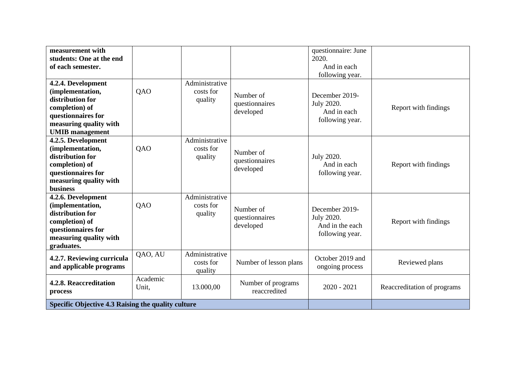| measurement with<br>students: One at the end<br>of each semester.                                                                                      |                   |                                        |                                          | questionnaire: June<br>2020.<br>And in each<br>following year.     |                             |
|--------------------------------------------------------------------------------------------------------------------------------------------------------|-------------------|----------------------------------------|------------------------------------------|--------------------------------------------------------------------|-----------------------------|
| 4.2.4. Development<br>(implementation,<br>distribution for<br>completion) of<br>questionnaires for<br>measuring quality with<br><b>UMIB</b> management | <b>QAO</b>        | Administrative<br>costs for<br>quality | Number of<br>questionnaires<br>developed | December 2019-<br>July 2020.<br>And in each<br>following year.     | Report with findings        |
| 4.2.5. Development<br>(implementation,<br>distribution for<br>completion) of<br>questionnaires for<br>measuring quality with<br><b>business</b>        | <b>QAO</b>        | Administrative<br>costs for<br>quality | Number of<br>questionnaires<br>developed | July 2020.<br>And in each<br>following year.                       | Report with findings        |
| 4.2.6. Development<br>(implementation,<br>distribution for<br>completion) of<br>questionnaires for<br>measuring quality with<br>graduates.             | <b>QAO</b>        | Administrative<br>costs for<br>quality | Number of<br>questionnaires<br>developed | December 2019-<br>July 2020.<br>And in the each<br>following year. | Report with findings        |
| 4.2.7. Reviewing curricula<br>and applicable programs                                                                                                  | QAO, AU           | Administrative<br>costs for<br>quality | Number of lesson plans                   | October 2019 and<br>ongoing process                                | Reviewed plans              |
| 4.2.8. Reaccreditation<br>process                                                                                                                      | Academic<br>Unit, | 13.000,00                              | Number of programs<br>reaccredited       | $2020 - 2021$                                                      | Reaccreditation of programs |
| Specific Objective 4.3 Raising the quality culture                                                                                                     |                   |                                        |                                          |                                                                    |                             |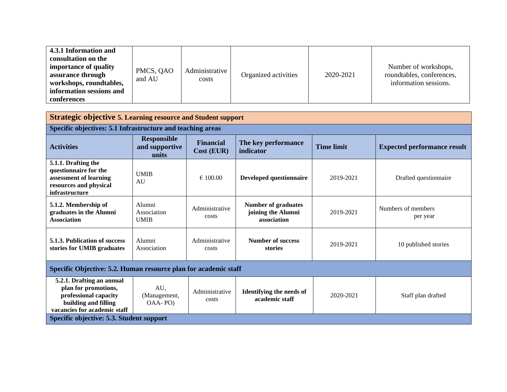| <b>Strategic objective 5. Learning resource and Student support</b>                                                                |                                               |                                |                                                                 |                   |                                    |  |  |
|------------------------------------------------------------------------------------------------------------------------------------|-----------------------------------------------|--------------------------------|-----------------------------------------------------------------|-------------------|------------------------------------|--|--|
| Specific objectives: 5.1 Infrastructure and teaching areas                                                                         |                                               |                                |                                                                 |                   |                                    |  |  |
| <b>Activities</b>                                                                                                                  | <b>Responsible</b><br>and supportive<br>units | <b>Financial</b><br>Cost (EUR) | The key performance<br>indicator                                | <b>Time limit</b> | <b>Expected performance result</b> |  |  |
| 5.1.1. Drafting the<br>questionnaire for the<br>assessment of learning<br>resources and physical<br>infrastructure                 | <b>UMIB</b><br>AU                             | $\epsilon$ 100.00              | Developed questionnaire                                         | 2019-2021         | Drafted questionnaire              |  |  |
| 5.1.2. Membership of<br>graduates in the Alumni<br><b>Association</b>                                                              | Alumni<br>Association<br><b>UMIB</b>          | Administrative<br>costs        | <b>Number of graduates</b><br>joining the Alumni<br>association | 2019-2021         | Numbers of members<br>per year     |  |  |
| 5.1.3. Publication of success<br>stories for UMIB graduates                                                                        | Alumni<br>Association                         | Administrative<br>costs        | Number of success<br>stories                                    | 2019-2021         | 10 published stories               |  |  |
| Specific Objective: 5.2. Human resource plan for academic staff                                                                    |                                               |                                |                                                                 |                   |                                    |  |  |
| 5.2.1. Drafting an annual<br>plan for promotions,<br>professional capacity<br>building and filling<br>vacancies for academic staff | AU,<br>(Management,<br>OAA-PO)                | Administrative<br>costs        | <b>Identifying the needs of</b><br>academic staff               | 2020-2021         | Staff plan drafted                 |  |  |
| Specific objective: 5.3. Student support                                                                                           |                                               |                                |                                                                 |                   |                                    |  |  |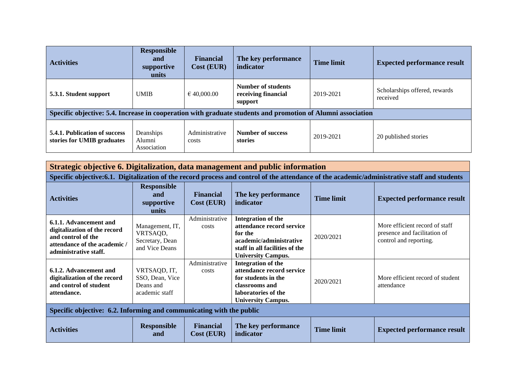| <b>Activities</b>                                                                                           | <b>Responsible</b><br>and<br>supportive<br>units | <b>Financial</b><br><b>Cost (EUR)</b> | The key performance<br>indicator                     | <b>Time limit</b> | <b>Expected performance result</b>        |  |
|-------------------------------------------------------------------------------------------------------------|--------------------------------------------------|---------------------------------------|------------------------------------------------------|-------------------|-------------------------------------------|--|
| 5.3.1. Student support                                                                                      | <b>UMIB</b>                                      | $\epsilon$ 40,000.00                  | Number of students<br>receiving financial<br>support | 2019-2021         | Scholarships offered, rewards<br>received |  |
| Specific objective: 5.4. Increase in cooperation with graduate students and promotion of Alumni association |                                                  |                                       |                                                      |                   |                                           |  |
| 5.4.1. Publication of success<br>stories for UMIB graduates                                                 | Deanships<br>Alumni<br>Association               | Administrative<br>costs               | <b>Number of success</b><br>stories                  | 2019-2021         | 20 published stories                      |  |

**Strategic objective 6. Digitalization, data management and public information Specific objective:6.1. Digitalization of the record process and control of the attendance of the academic/administrative staff and students Activities Responsible and supportive units Financial Cost (EUR) The key performance indicator indicator Time limit Expected performance result 6.1.1. Advancement and digitalization of the record and control of the attendance of the academic / administrative staff.** Management, IT, VRTSAQD, Secretary, Dean and Vice Deans Administrative costs **Integration of the attendance record service for the academic/administrative staff in all facilities of the University Campus.** 2020/2021 More efficient record of staff presence and facilitation of control and reporting. **6.1.2. Advancement and digitalization of the record and control of student attendance.** VRTSAQD, IT, SSO, Dean, Vice Deans and academic staff Administrative costs **Integration of the attendance record service for students in the classrooms and laboratories of the University Campus.** 2020/2021 More efficient record of student attendance **Specific objective: 6.2. Informing and communicating with the public Activities Responsible and Financial Cost (EUR) The key performance indicator Time limit Expected performance result**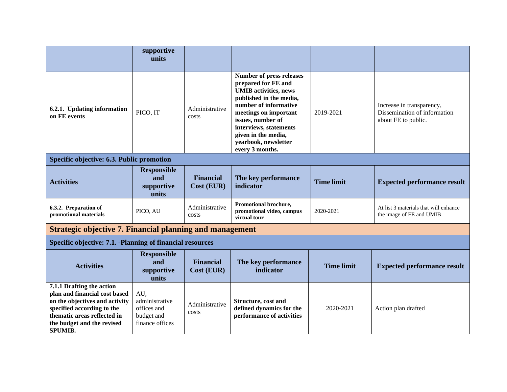|                                                                                                                                                                                                           | supportive<br>units                                                   |                                |                                                                                                                                                                                                                                                                                      |                   |                                                                                  |  |  |
|-----------------------------------------------------------------------------------------------------------------------------------------------------------------------------------------------------------|-----------------------------------------------------------------------|--------------------------------|--------------------------------------------------------------------------------------------------------------------------------------------------------------------------------------------------------------------------------------------------------------------------------------|-------------------|----------------------------------------------------------------------------------|--|--|
| 6.2.1. Updating information<br>on FE events                                                                                                                                                               | PICO, IT                                                              | Administrative<br>costs        | <b>Number of press releases</b><br>prepared for FE and<br><b>UMIB</b> activities, news<br>published in the media,<br>number of informative<br>meetings on important<br>issues, number of<br>interviews, statements<br>given in the media,<br>yearbook, newsletter<br>every 3 months. | 2019-2021         | Increase in transparency,<br>Dissemination of information<br>about FE to public. |  |  |
| Specific objective: 6.3. Public promotion                                                                                                                                                                 |                                                                       |                                |                                                                                                                                                                                                                                                                                      |                   |                                                                                  |  |  |
| <b>Activities</b>                                                                                                                                                                                         | <b>Responsible</b><br>and<br>supportive<br>units                      | <b>Financial</b><br>Cost (EUR) | The key performance<br>indicator                                                                                                                                                                                                                                                     | <b>Time limit</b> | <b>Expected performance result</b>                                               |  |  |
| 6.3.2. Preparation of<br>promotional materials                                                                                                                                                            | PICO, AU                                                              | Administrative<br>costs        | Promotional brochure,<br>promotional video, campus<br>virtual tour                                                                                                                                                                                                                   | 2020-2021         | At list 3 materials that will enhance<br>the image of FE and UMIB                |  |  |
| <b>Strategic objective 7. Financial planning and management</b>                                                                                                                                           |                                                                       |                                |                                                                                                                                                                                                                                                                                      |                   |                                                                                  |  |  |
| Specific objective: 7.1. -Planning of financial resources                                                                                                                                                 |                                                                       |                                |                                                                                                                                                                                                                                                                                      |                   |                                                                                  |  |  |
| <b>Activities</b>                                                                                                                                                                                         | <b>Responsible</b><br>and<br>supportive<br>units                      | <b>Financial</b><br>Cost (EUR) | The key performance<br>indicator                                                                                                                                                                                                                                                     | <b>Time limit</b> | <b>Expected performance result</b>                                               |  |  |
| 7.1.1 Drafting the action<br>plan and financial cost based<br>on the objectives and activity<br>specified according to the<br>thematic areas reflected in<br>the budget and the revised<br><b>SPUMIB.</b> | AU,<br>administrative<br>offices and<br>budget and<br>finance offices | Administrative<br>costs        | Structure, cost and<br>defined dynamics for the<br>performance of activities                                                                                                                                                                                                         | 2020-2021         | Action plan drafted                                                              |  |  |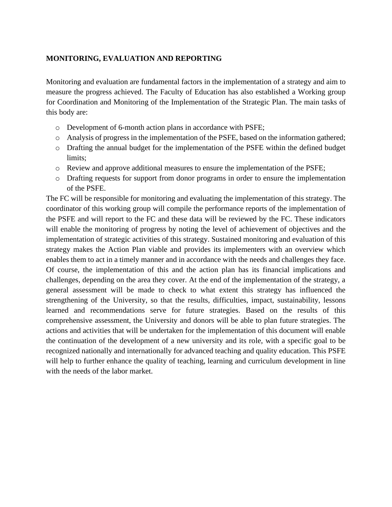## <span id="page-23-0"></span>**MONITORING, EVALUATION AND REPORTING**

Monitoring and evaluation are fundamental factors in the implementation of a strategy and aim to measure the progress achieved. The Faculty of Education has also established a Working group for Coordination and Monitoring of the Implementation of the Strategic Plan. The main tasks of this body are:

- o Development of 6-month action plans in accordance with PSFE;
- o Analysis of progress in the implementation of the PSFE, based on the information gathered;
- o Drafting the annual budget for the implementation of the PSFE within the defined budget limits;
- o Review and approve additional measures to ensure the implementation of the PSFE;
- o Drafting requests for support from donor programs in order to ensure the implementation of the PSFE.

The FC will be responsible for monitoring and evaluating the implementation of this strategy. The coordinator of this working group will compile the performance reports of the implementation of the PSFE and will report to the FC and these data will be reviewed by the FC. These indicators will enable the monitoring of progress by noting the level of achievement of objectives and the implementation of strategic activities of this strategy. Sustained monitoring and evaluation of this strategy makes the Action Plan viable and provides its implementers with an overview which enables them to act in a timely manner and in accordance with the needs and challenges they face. Of course, the implementation of this and the action plan has its financial implications and challenges, depending on the area they cover. At the end of the implementation of the strategy, a general assessment will be made to check to what extent this strategy has influenced the strengthening of the University, so that the results, difficulties, impact, sustainability, lessons learned and recommendations serve for future strategies. Based on the results of this comprehensive assessment, the University and donors will be able to plan future strategies. The actions and activities that will be undertaken for the implementation of this document will enable the continuation of the development of a new university and its role, with a specific goal to be recognized nationally and internationally for advanced teaching and quality education. This PSFE will help to further enhance the quality of teaching, learning and curriculum development in line with the needs of the labor market.